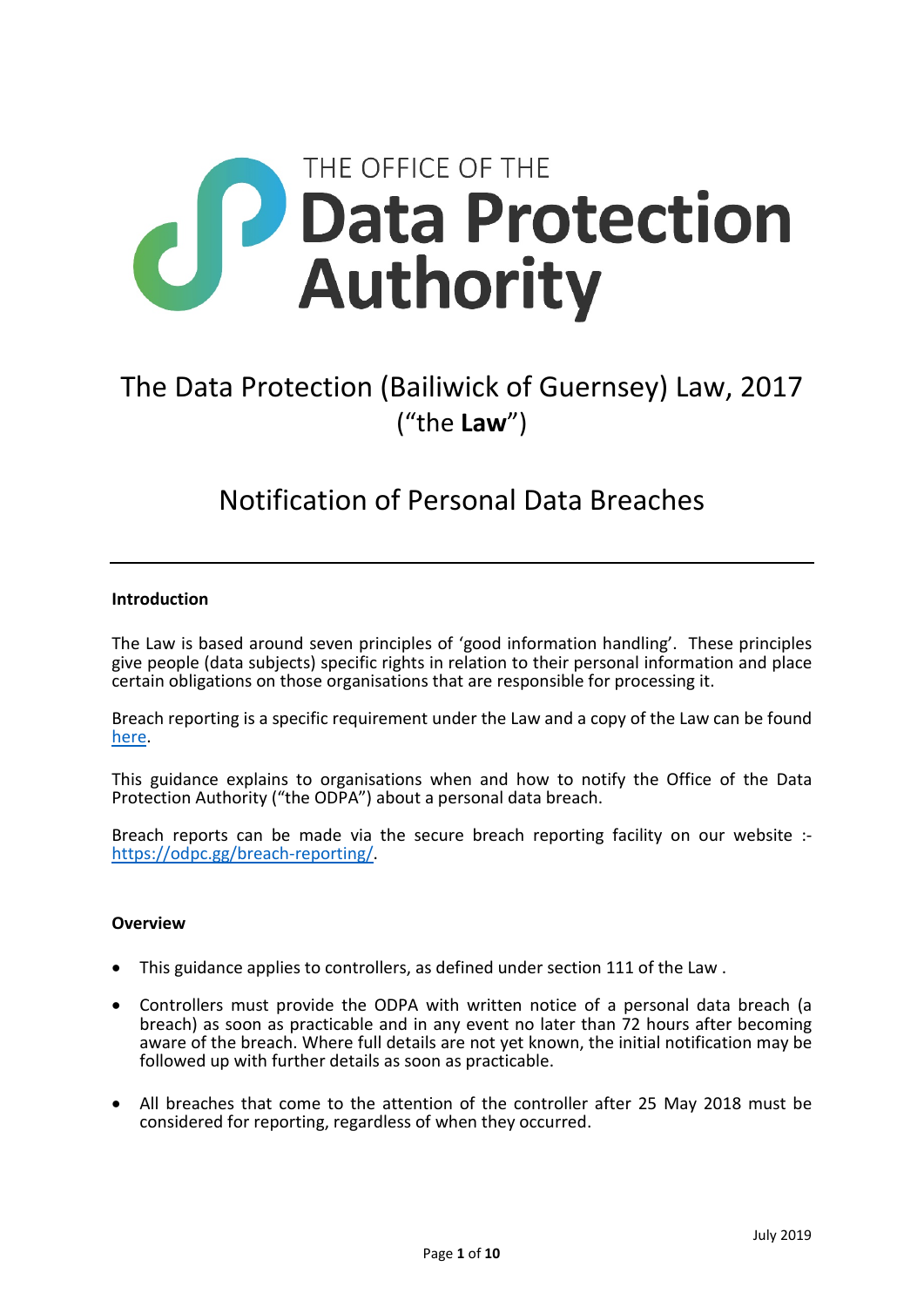

# The Data Protection (Bailiwick of Guernsey) Law, 2017 ("the **Law**")

# Notification of Personal Data Breaches

#### **Introduction**

The Law is based around seven principles of 'good information handling'. These principles give people (data subjects) specific rights in relation to their personal information and place certain obligations on those organisations that are responsible for processing it.

Breach reporting is a specific requirement under the Law and a copy of the Law can be found [here.](http://www.guernseylegalresources.gg/CHttpHandler.ashx?id=112599&p=0)

This guidance explains to organisations when and how to notify the Office of the Data Protection Authority ("the ODPA") about a personal data breach.

Breach reports can be made via the secure breach reporting facility on our website : [https://odpc.gg/breach-reporting/.](https://odpc.gg/breach-reporting/)

#### **Overview**

- This guidance applies to controllers, as defined under section 111 of the Law .
- Controllers must provide the ODPA with written notice of a personal data breach (a breach) as soon as practicable and in any event no later than 72 hours after becoming aware of the breach. Where full details are not yet known, the initial notification may be followed up with further details as soon as practicable.
- All breaches that come to the attention of the controller after 25 May 2018 must be considered for reporting, regardless of when they occurred.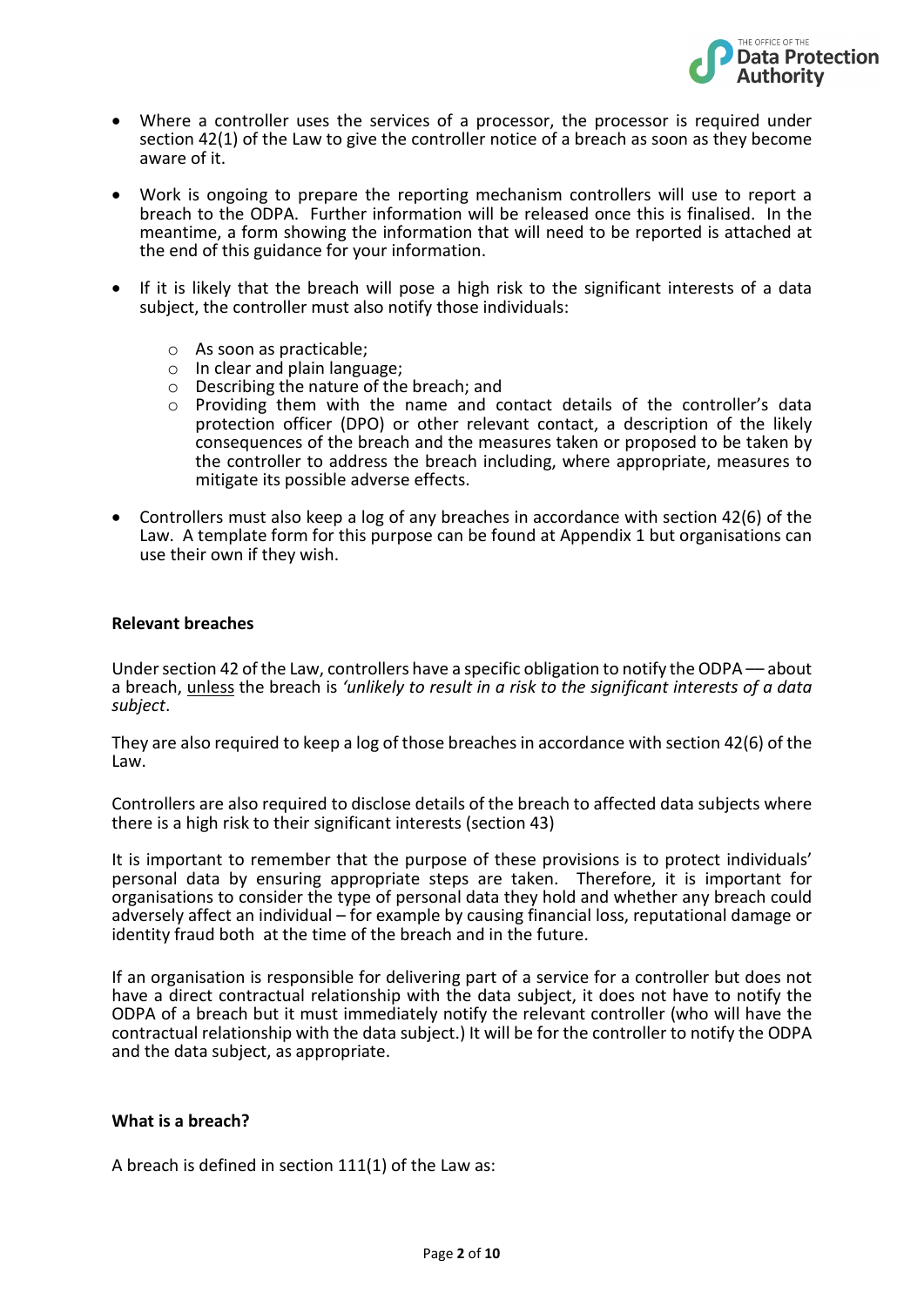

- Where a controller uses the services of a processor, the processor is required under section 42(1) of the Law to give the controller notice of a breach as soon as they become aware of it.
- Work is ongoing to prepare the reporting mechanism controllers will use to report a breach to the ODPA. Further information will be released once this is finalised. In the meantime, a form showing the information that will need to be reported is attached at the end of this guidance for your information.
- If it is likely that the breach will pose a high risk to the significant interests of a data subject, the controller must also notify those individuals:
	- o As soon as practicable;
	- o In clear and plain language;
	- o Describing the nature of the breach; and
	- o Providing them with the name and contact details of the controller's data protection officer (DPO) or other relevant contact, a description of the likely consequences of the breach and the measures taken or proposed to be taken by the controller to address the breach including, where appropriate, measures to mitigate its possible adverse effects.
- Controllers must also keep a log of any breaches in accordance with section 42(6) of the Law. A template form for this purpose can be found at Appendix 1 but organisations can use their own if they wish.

#### **Relevant breaches**

Under section 42 of the Law, controllers have a specific obligation to notify the ODPA –– about a breach, unless the breach is *'unlikely to result in a risk to the significant interests of a data subject*.

They are also required to keep a log of those breaches in accordance with section 42(6) of the Law.

Controllers are also required to disclose details of the breach to affected data subjects where there is a high risk to their significant interests (section 43)

It is important to remember that the purpose of these provisions is to protect individuals' personal data by ensuring appropriate steps are taken. Therefore, it is important for organisations to consider the type of personal data they hold and whether any breach could adversely affect an individual – for example by causing financial loss, reputational damage or identity fraud both at the time of the breach and in the future.

If an organisation is responsible for delivering part of a service for a controller but does not have a direct contractual relationship with the data subject, it does not have to notify the ODPA of a breach but it must immediately notify the relevant controller (who will have the contractual relationship with the data subject.) It will be for the controller to notify the ODPA and the data subject, as appropriate.

#### **What is a breach?**

A breach is defined in section 111(1) of the Law as: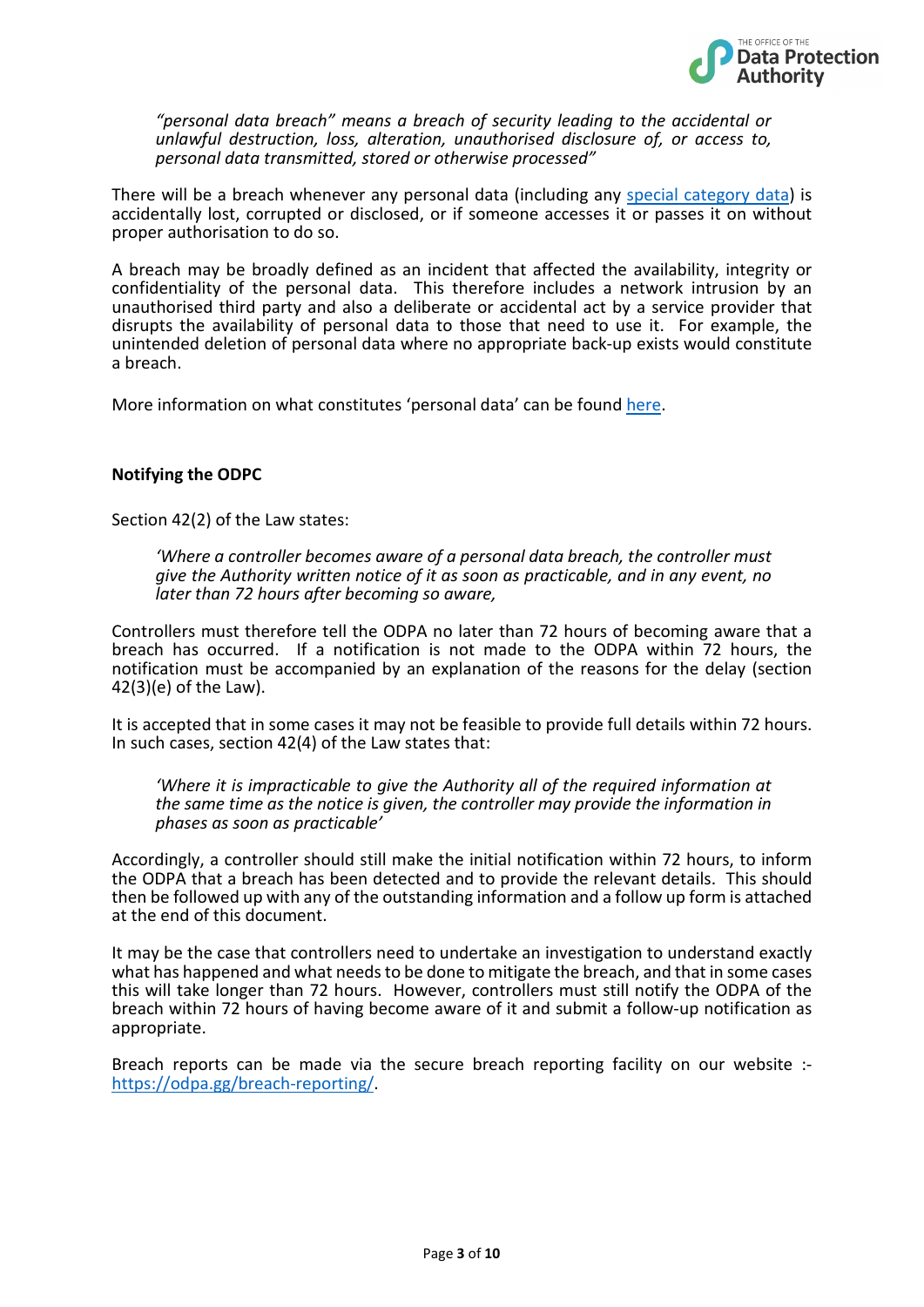

*"personal data breach" means a breach of security leading to the accidental or unlawful destruction, loss, alteration, unauthorised disclosure of, or access to, personal data transmitted, stored or otherwise processed"*

There will be a breach whenever any personal data (including any [special category data\)](https://odpc.gg/definitions-2#scd) is accidentally lost, corrupted or disclosed, or if someone accesses it or passes it on without proper authorisation to do so.

A breach may be broadly defined as an incident that affected the availability, integrity or confidentiality of the personal data. This therefore includes a network intrusion by an unauthorised third party and also a deliberate or accidental act by a service provider that disrupts the availability of personal data to those that need to use it. For example, the unintended deletion of personal data where no appropriate back-up exists would constitute a breach.

More information on what constitutes 'personal data' can be foun[d here.](http://www.odpc.gg/definitions-2#personaldata)

#### **Notifying the ODPC**

Section 42(2) of the Law states:

*'Where a controller becomes aware of a personal data breach, the controller must give the Authority written notice of it as soon as practicable, and in any event, no later than 72 hours after becoming so aware,* 

Controllers must therefore tell the ODPA no later than 72 hours of becoming aware that a breach has occurred. If a notification is not made to the ODPA within 72 hours, the notification must be accompanied by an explanation of the reasons for the delay (section  $42(3)(e)$  of the Law).

It is accepted that in some cases it may not be feasible to provide full details within 72 hours. In such cases, section 42(4) of the Law states that:

*'Where it is impracticable to give the Authority all of the required information at the same time as the notice is given, the controller may provide the information in phases as soon as practicable'* 

Accordingly, a controller should still make the initial notification within 72 hours, to inform the ODPA that a breach has been detected and to provide the relevant details. This should then be followed up with any of the outstanding information and a follow up form is attached at the end of this document.

It may be the case that controllers need to undertake an investigation to understand exactly what has happened and what needs to be done to mitigate the breach, and that in some cases this will take longer than 72 hours. However, controllers must still notify the ODPA of the breach within 72 hours of having become aware of it and submit a follow-up notification as appropriate.

Breach reports can be made via the secure breach reporting facility on our website : [https://odpa.gg/breach-reporting/.](https://odpa.gg/breach-reporting/)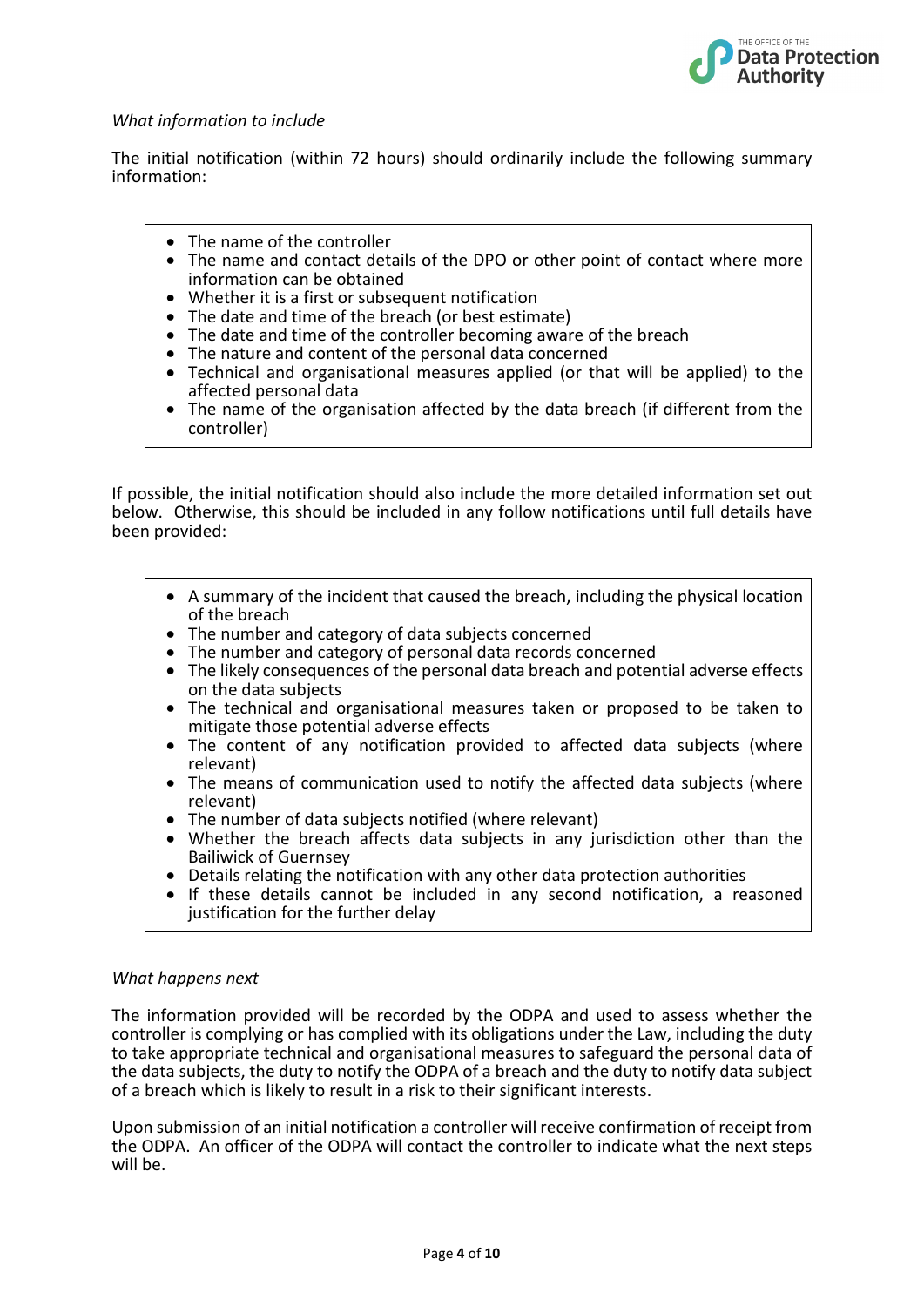

#### *What information to include*

The initial notification (within 72 hours) should ordinarily include the following summary information:

- The name of the controller
- The name and contact details of the DPO or other point of contact where more information can be obtained
- Whether it is a first or subsequent notification
- The date and time of the breach (or best estimate)
- The date and time of the controller becoming aware of the breach
- The nature and content of the personal data concerned
- Technical and organisational measures applied (or that will be applied) to the affected personal data
- The name of the organisation affected by the data breach (if different from the controller)

If possible, the initial notification should also include the more detailed information set out below. Otherwise, this should be included in any follow notifications until full details have been provided:

- A summary of the incident that caused the breach, including the physical location of the breach
- The number and category of data subjects concerned
- The number and category of personal data records concerned
- The likely consequences of the personal data breach and potential adverse effects on the data subjects
- The technical and organisational measures taken or proposed to be taken to mitigate those potential adverse effects
- The content of any notification provided to affected data subjects (where relevant)
- The means of communication used to notify the affected data subjects (where relevant)
- The number of data subjects notified (where relevant)
- Whether the breach affects data subjects in any jurisdiction other than the Bailiwick of Guernsey
- Details relating the notification with any other data protection authorities
- If these details cannot be included in any second notification, a reasoned justification for the further delay

#### *What happens next*

The information provided will be recorded by the ODPA and used to assess whether the controller is complying or has complied with its obligations under the Law, including the duty to take appropriate technical and organisational measures to safeguard the personal data of the data subjects, the duty to notify the ODPA of a breach and the duty to notify data subject of a breach which is likely to result in a risk to their significant interests.

Upon submission of an initial notification a controller will receive confirmation of receipt from the ODPA. An officer of the ODPA will contact the controller to indicate what the next steps will be.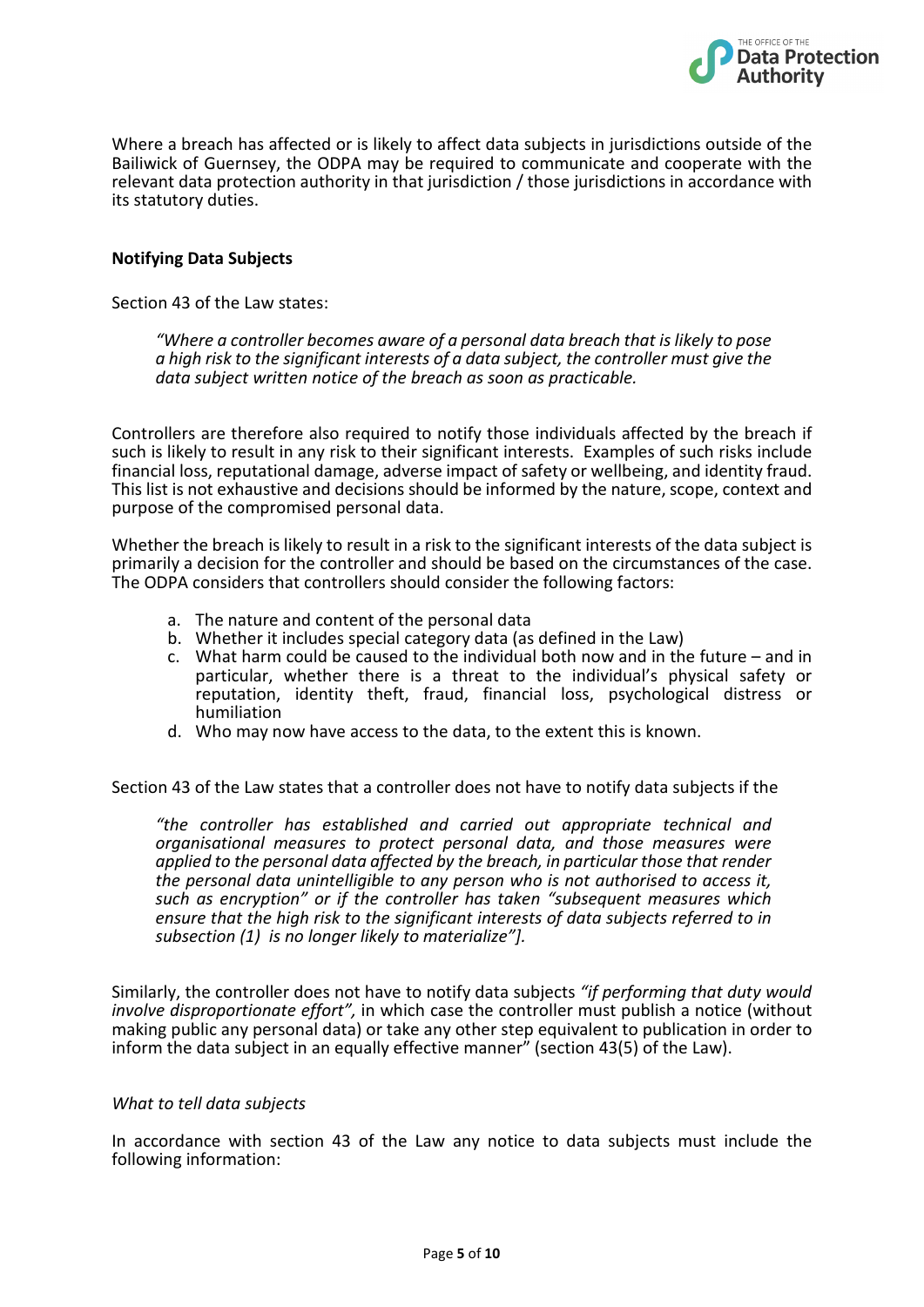

Where a breach has affected or is likely to affect data subjects in jurisdictions outside of the Bailiwick of Guernsey, the ODPA may be required to communicate and cooperate with the relevant data protection authority in that jurisdiction / those jurisdictions in accordance with its statutory duties.

#### **Notifying Data Subjects**

Section 43 of the Law states:

*"Where a controller becomes aware of a personal data breach that is likely to pose a high risk to the significant interests of a data subject, the controller must give the data subject written notice of the breach as soon as practicable.* 

Controllers are therefore also required to notify those individuals affected by the breach if such is likely to result in any risk to their significant interests. Examples of such risks include financial loss, reputational damage, adverse impact of safety or wellbeing, and identity fraud. This list is not exhaustive and decisions should be informed by the nature, scope, context and purpose of the compromised personal data.

Whether the breach is likely to result in a risk to the significant interests of the data subject is primarily a decision for the controller and should be based on the circumstances of the case. The ODPA considers that controllers should consider the following factors:

- a. The nature and content of the personal data
- b. Whether it includes special category data (as defined in the Law)
- c. What harm could be caused to the individual both now and in the future and in particular, whether there is a threat to the individual's physical safety or reputation, identity theft, fraud, financial loss, psychological distress or humiliation
- d. Who may now have access to the data, to the extent this is known.

Section 43 of the Law states that a controller does not have to notify data subjects if the

*"the controller has established and carried out appropriate technical and organisational measures to protect personal data, and those measures were applied to the personal data affected by the breach, in particular those that render the personal data unintelligible to any person who is not authorised to access it, such as encryption" or if the controller has taken "subsequent measures which ensure that the high risk to the significant interests of data subjects referred to in subsection (1) is no longer likely to materialize"].* 

Similarly, the controller does not have to notify data subjects *"if performing that duty would involve disproportionate effort",* in which case the controller must publish a notice (without making public any personal data) or take any other step equivalent to publication in order to inform the data subject in an equally effective manner" (section 43(5) of the Law).

#### *What to tell data subjects*

In accordance with section 43 of the Law any notice to data subjects must include the following information: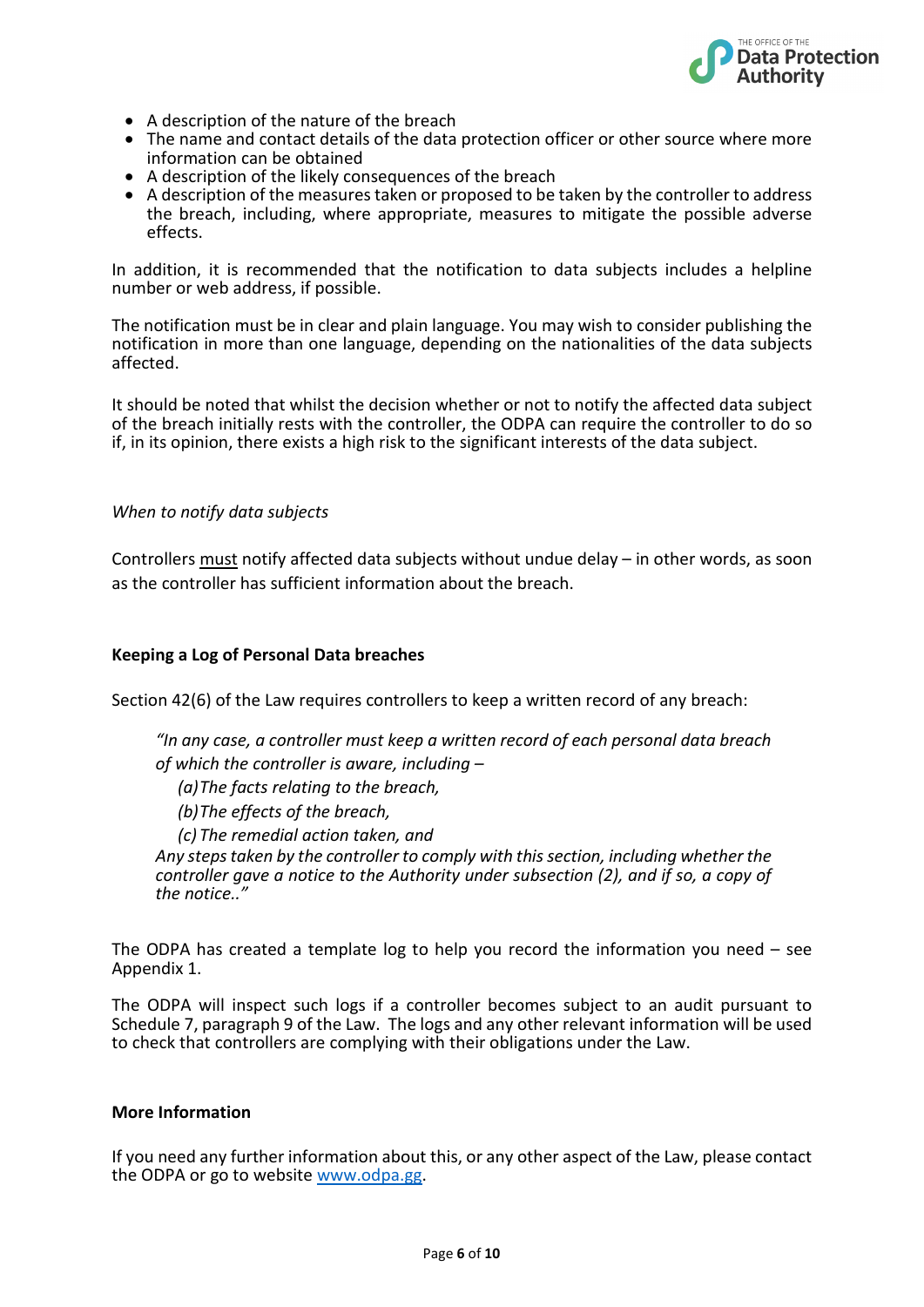

- A description of the nature of the breach
- The name and contact details of the data protection officer or other source where more information can be obtained
- A description of the likely consequences of the breach
- A description of the measures taken or proposed to be taken by the controller to address the breach, including, where appropriate, measures to mitigate the possible adverse effects.

In addition, it is recommended that the notification to data subjects includes a helpline number or web address, if possible.

The notification must be in clear and plain language. You may wish to consider publishing the notification in more than one language, depending on the nationalities of the data subjects affected.

It should be noted that whilst the decision whether or not to notify the affected data subject of the breach initially rests with the controller, the ODPA can require the controller to do so if, in its opinion, there exists a high risk to the significant interests of the data subject.

#### *When to notify data subjects*

Controllers must notify affected data subjects without undue delay – in other words, as soon as the controller has sufficient information about the breach.

#### **Keeping a Log of Personal Data breaches**

Section 42(6) of the Law requires controllers to keep a written record of any breach:

*"In any case, a controller must keep a written record of each personal data breach of which the controller is aware, including –*

*(a)The facts relating to the breach,*

*(b)The effects of the breach,*

*(c) The remedial action taken, and*

*Any steps taken by the controller to comply with this section, including whether the controller gave a notice to the Authority under subsection (2), and if so, a copy of the notice.."*

The ODPA has created a template log to help you record the information you need  $-$  see Appendix 1.

The ODPA will inspect such logs if a controller becomes subject to an audit pursuant to Schedule 7, paragraph 9 of the Law. The logs and any other relevant information will be used to check that controllers are complying with their obligations under the Law.

#### **More Information**

If you need any further information about this, or any other aspect of the Law, please contact the ODPA or go to website [www.odpa.gg.](https://www.odpa.gg/)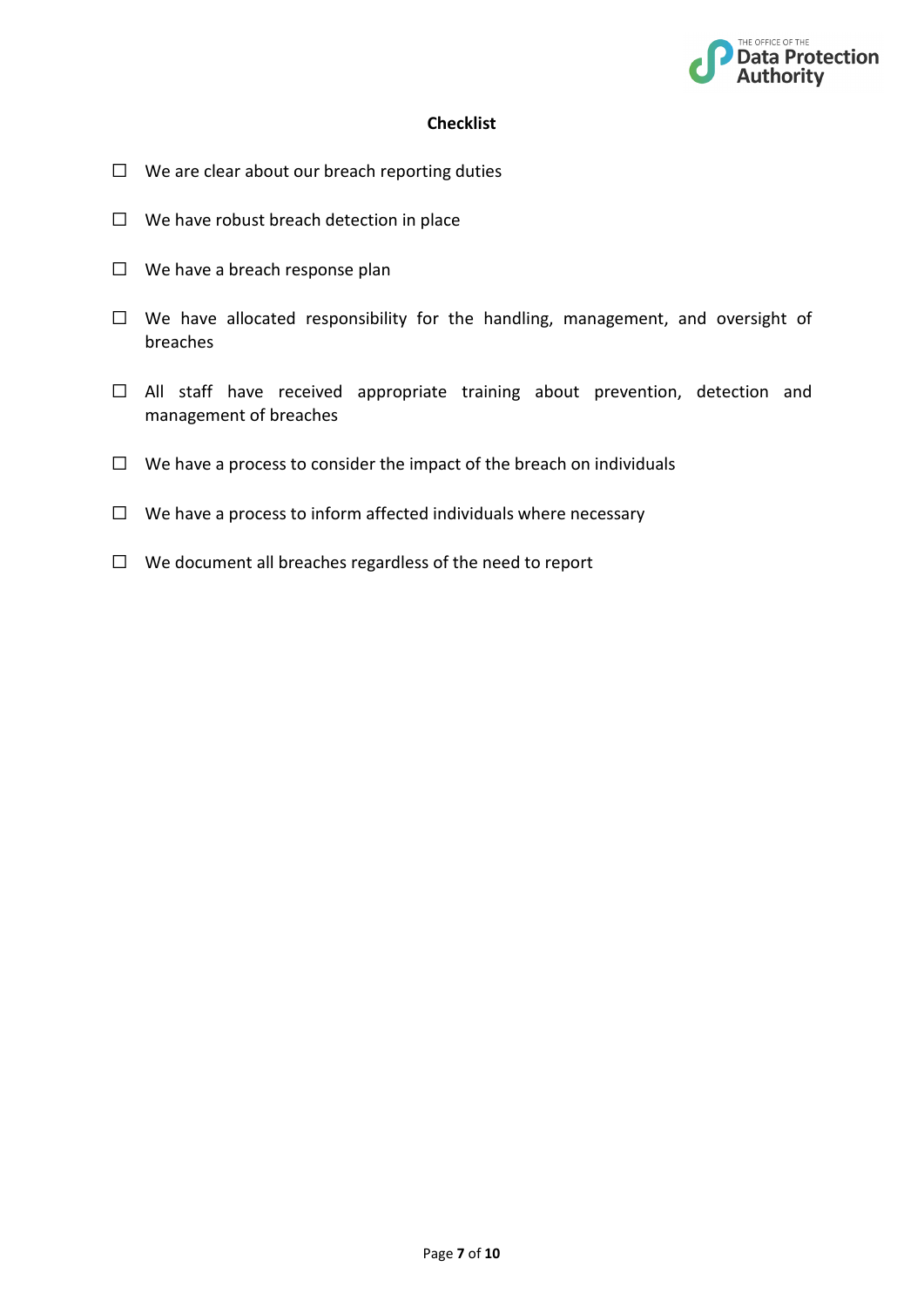

### **Checklist**

- $\Box$  We are clear about our breach reporting duties
- ☐ We have robust breach detection in place
- $\Box$  We have a breach response plan
- ☐ We have allocated responsibility for the handling, management, and oversight of breaches
- ☐ All staff have received appropriate training about prevention, detection and management of breaches
- $\Box$  We have a process to consider the impact of the breach on individuals
- $\Box$  We have a process to inform affected individuals where necessary
- ☐ We document all breaches regardless of the need to report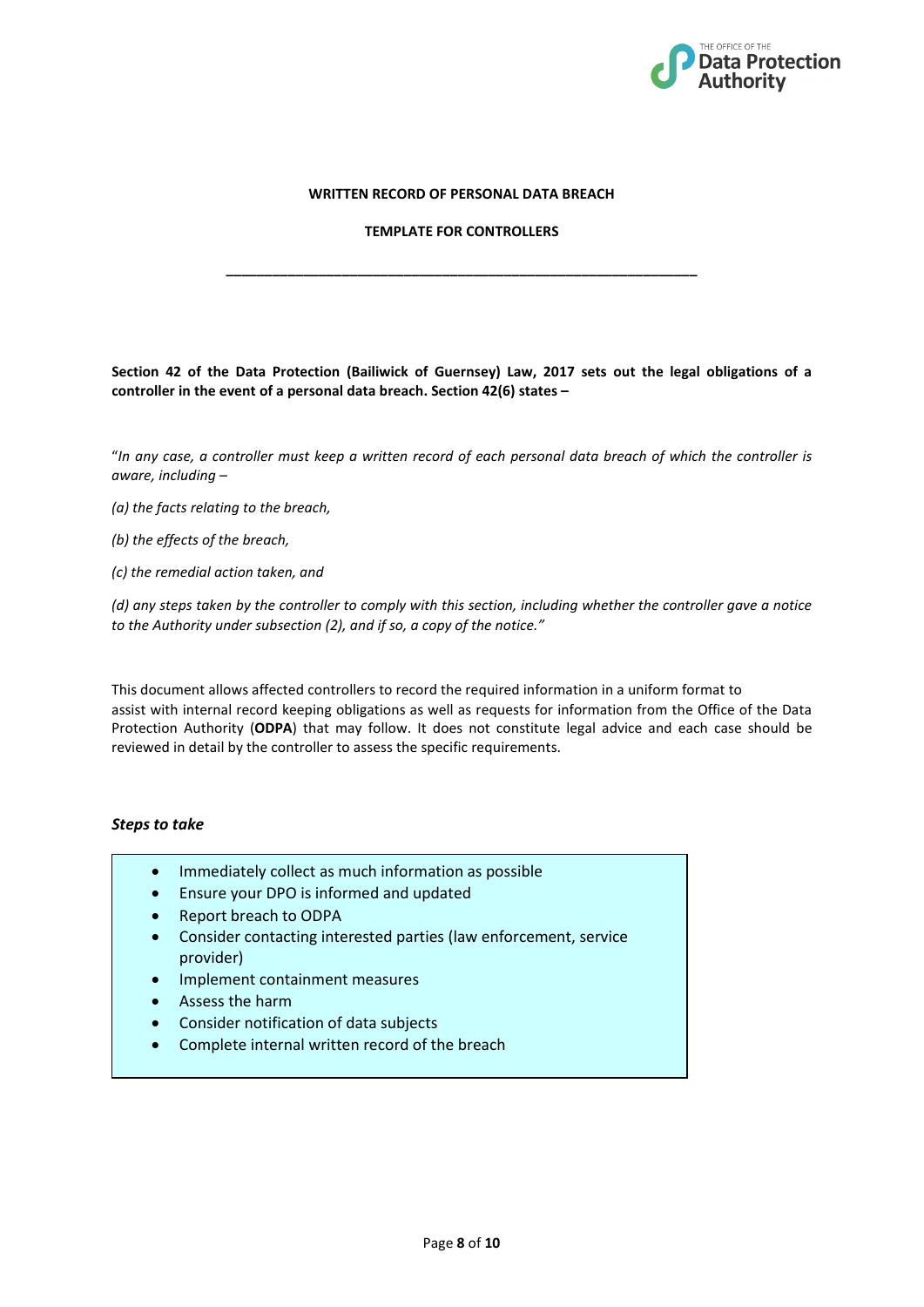

#### **WRITTEN RECORD OF PERSONAL DATA BREACH**

#### **TEMPLATE FOR CONTROLLERS**

**\_\_\_\_\_\_\_\_\_\_\_\_\_\_\_\_\_\_\_\_\_\_\_\_\_\_\_\_\_\_\_\_\_\_\_\_\_\_\_\_\_\_\_\_\_\_\_\_\_\_\_\_\_\_\_\_\_\_\_\_\_**

**Section 42 of the Data Protection (Bailiwick of Guernsey) Law, 2017 sets out the legal obligations of a controller in the event of a personal data breach. Section 42(6) states –**

"*In any case, a controller must keep a written record of each personal data breach of which the controller is aware, including –*

*(a) the facts relating to the breach,*

*(b) the effects of the breach,*

*(c) the remedial action taken, and*

*(d) any steps taken by the controller to comply with this section, including whether the controller gave a notice to the Authority under subsection (2), and if so, a copy of the notice."*

This document allows affected controllers to record the required information in a uniform format to assist with internal record keeping obligations as well as requests for information from the Office of the Data Protection Authority (**ODPA**) that may follow. It does not constitute legal advice and each case should be reviewed in detail by the controller to assess the specific requirements.

#### *Steps to take*

- Immediately collect as much information as possible
- Ensure your DPO is informed and updated
- Report breach to ODPA
- Consider contacting interested parties (law enforcement, service provider)
- Implement containment measures
- Assess the harm
- Consider notification of data subjects
- Complete internal written record of the breach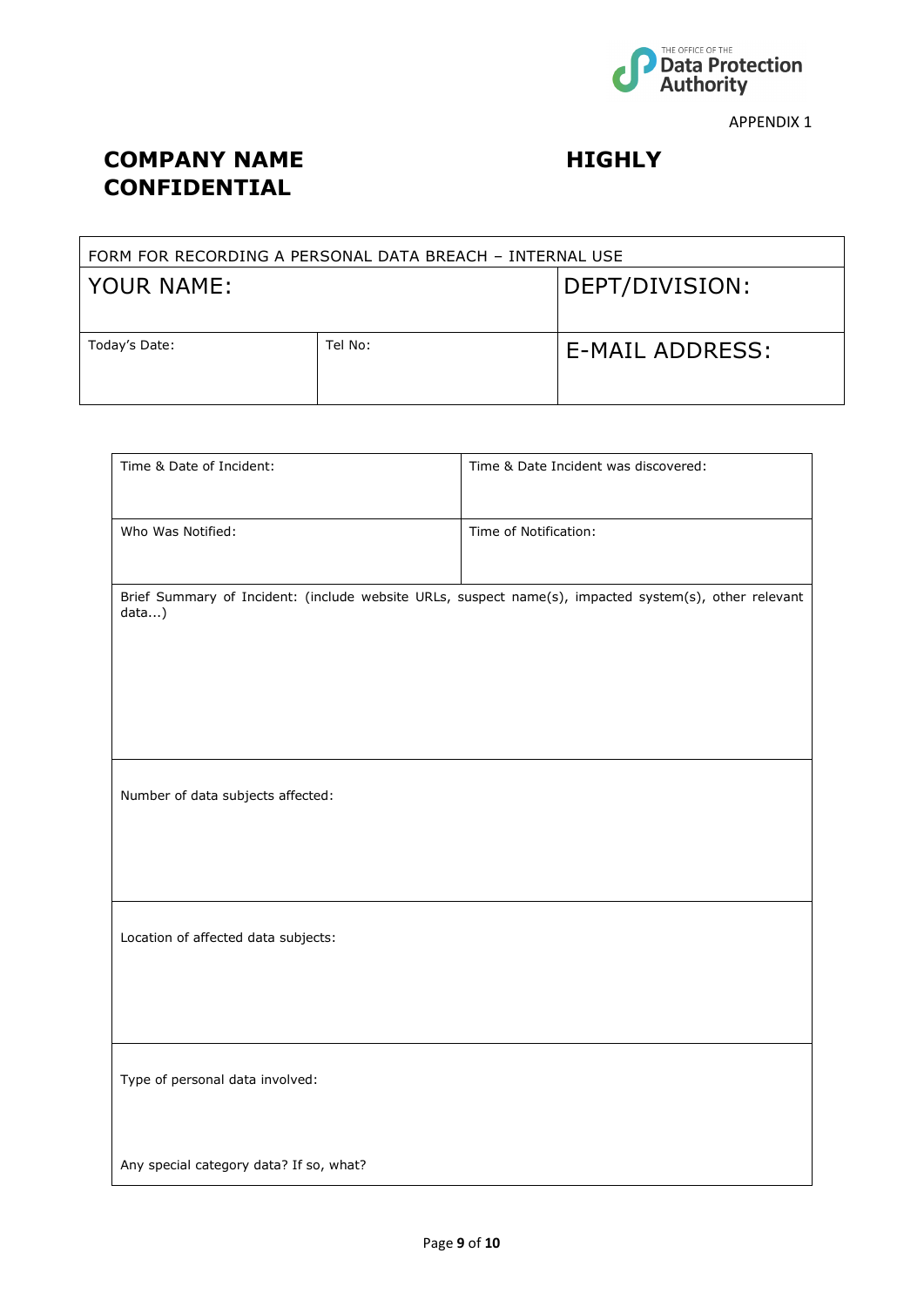

APPENDIX 1

## **COMPANY NAME HIGHLY CONFIDENTIAL**

| FORM FOR RECORDING A PERSONAL DATA BREACH - INTERNAL USE |         |                 |  |  |  |
|----------------------------------------------------------|---------|-----------------|--|--|--|
| YOUR NAME:                                               |         | DEPT/DIVISION:  |  |  |  |
| Today's Date:                                            | Tel No: | E-MAIL ADDRESS: |  |  |  |

| Time & Date of Incident:                                                                                       | Time & Date Incident was discovered: |  |  |  |
|----------------------------------------------------------------------------------------------------------------|--------------------------------------|--|--|--|
|                                                                                                                |                                      |  |  |  |
| Who Was Notified:                                                                                              | Time of Notification:                |  |  |  |
|                                                                                                                |                                      |  |  |  |
| Brief Summary of Incident: (include website URLs, suspect name(s), impacted system(s), other relevant<br>data) |                                      |  |  |  |
|                                                                                                                |                                      |  |  |  |
|                                                                                                                |                                      |  |  |  |
|                                                                                                                |                                      |  |  |  |
|                                                                                                                |                                      |  |  |  |
|                                                                                                                |                                      |  |  |  |
| Number of data subjects affected:                                                                              |                                      |  |  |  |
|                                                                                                                |                                      |  |  |  |
|                                                                                                                |                                      |  |  |  |
|                                                                                                                |                                      |  |  |  |
| Location of affected data subjects:                                                                            |                                      |  |  |  |
|                                                                                                                |                                      |  |  |  |
|                                                                                                                |                                      |  |  |  |
|                                                                                                                |                                      |  |  |  |
|                                                                                                                |                                      |  |  |  |
| Type of personal data involved:                                                                                |                                      |  |  |  |
|                                                                                                                |                                      |  |  |  |
| Any special category data? If so, what?                                                                        |                                      |  |  |  |